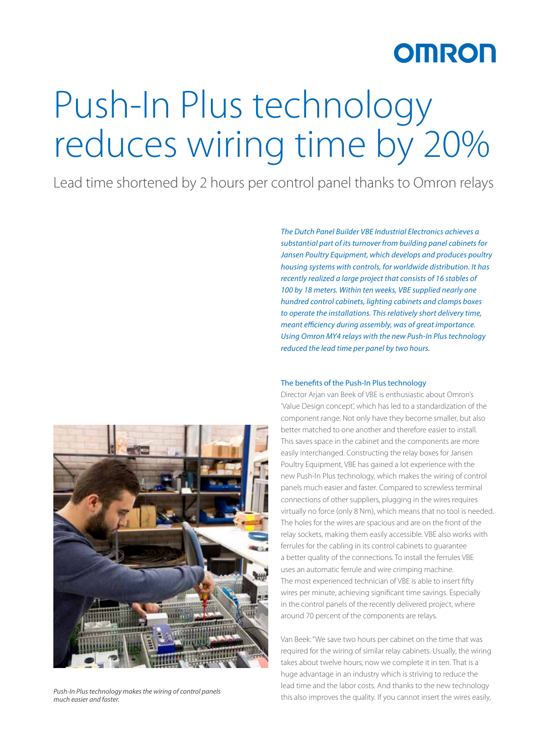### OMRON

# Push-In Plus technology reduces wiring time by 20%

Lead time shortened by 2 hours per control panel thanks to Omron relays

*substantial part of its turnover from building panel cabinets for Jansen Poultry Equipment, which develops and produces poultry housing systems with controls, for worldwide distribution. It has recently realized a large project that consists of 16 stables of 100 by 18 meters. Within ten weeks, VBE supplied nearly one hundred control cabinets, lighting cabinets and clamps boxes to operate the installations. This relatively short delivery time, meant efficiency during assembly, was of great importance. Using Omron MY4 relays with the new Push-In Plus technology reduced the lead time per panel by two hours.*

*The Dutch Panel Builder VBE Industrial Electronics achieves a* 

#### The benefits of the Push-In Plus technology

Director Arjan van Beek of VBE is enthusiastic about Omron's 'Value Design concept', which has led to a standardization of the component range. Not only have they become smaller, but also better matched to one another and therefore easier to install. This saves space in the cabinet and the components are more easily interchanged. Constructing the relay boxes for Jansen Poultry Equipment, VBE has gained a lot experience with the new Push-In Plus technology, which makes the wiring of control panels much easier and faster. Compared to screwless terminal connections of other suppliers, plugging in the wires requires virtually no force (only 8 Nm), which means that no tool is needed. The holes for the wires are spacious and are on the front of the relay sockets, making them easily accessible. VBE also works with ferrules for the cabling in its control cabinets to guarantee a better quality of the connections. To install the ferrules VBE uses an automatic ferrule and wire crimping machine. The most experienced technician of VBE is able to insert fifty wires per minute, achieving significant time savings. Especially in the control panels of the recently delivered project, where around 70 percent of the components are relays.

Van Beek: "We save two hours per cabinet on the time that was required for the wiring of similar relay cabinets. Usually, the wiring takes about twelve hours; now we complete it in ten. That is a huge advantage in an industry which is striving to reduce the lead time and the labor costs. And thanks to the new technology this also improves the quality. If you cannot insert the wires easily,



*Push-In Plus technology makes the wiring of control panels much easier and faster.*